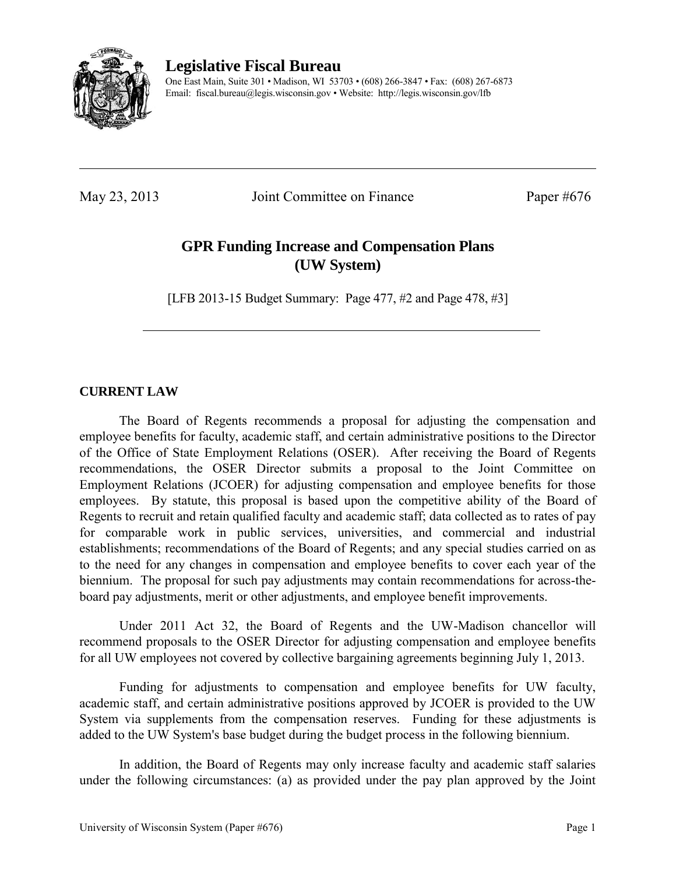

**Legislative Fiscal Bureau** 

One East Main, Suite 301 • Madison, WI 53703 • (608) 266-3847 • Fax: (608) 267-6873 Email: fiscal.bureau@legis.wisconsin.gov • Website:<http://legis.wisconsin.gov/lfb>

May 23, 2013 Joint Committee on Finance Paper #676

# **GPR Funding Increase and Compensation Plans (UW System)**

[LFB 2013-15 Budget Summary: Page 477, #2 and Page 478, #3]

# **CURRENT LAW**

 The Board of Regents recommends a proposal for adjusting the compensation and employee benefits for faculty, academic staff, and certain administrative positions to the Director of the Office of State Employment Relations (OSER). After receiving the Board of Regents recommendations, the OSER Director submits a proposal to the Joint Committee on Employment Relations (JCOER) for adjusting compensation and employee benefits for those employees. By statute, this proposal is based upon the competitive ability of the Board of Regents to recruit and retain qualified faculty and academic staff; data collected as to rates of pay for comparable work in public services, universities, and commercial and industrial establishments; recommendations of the Board of Regents; and any special studies carried on as to the need for any changes in compensation and employee benefits to cover each year of the biennium. The proposal for such pay adjustments may contain recommendations for across-theboard pay adjustments, merit or other adjustments, and employee benefit improvements.

Under 2011 Act 32, the Board of Regents and the UW-Madison chancellor will recommend proposals to the OSER Director for adjusting compensation and employee benefits for all UW employees not covered by collective bargaining agreements beginning July 1, 2013.

 Funding for adjustments to compensation and employee benefits for UW faculty, academic staff, and certain administrative positions approved by JCOER is provided to the UW System via supplements from the compensation reserves. Funding for these adjustments is added to the UW System's base budget during the budget process in the following biennium.

 In addition, the Board of Regents may only increase faculty and academic staff salaries under the following circumstances: (a) as provided under the pay plan approved by the Joint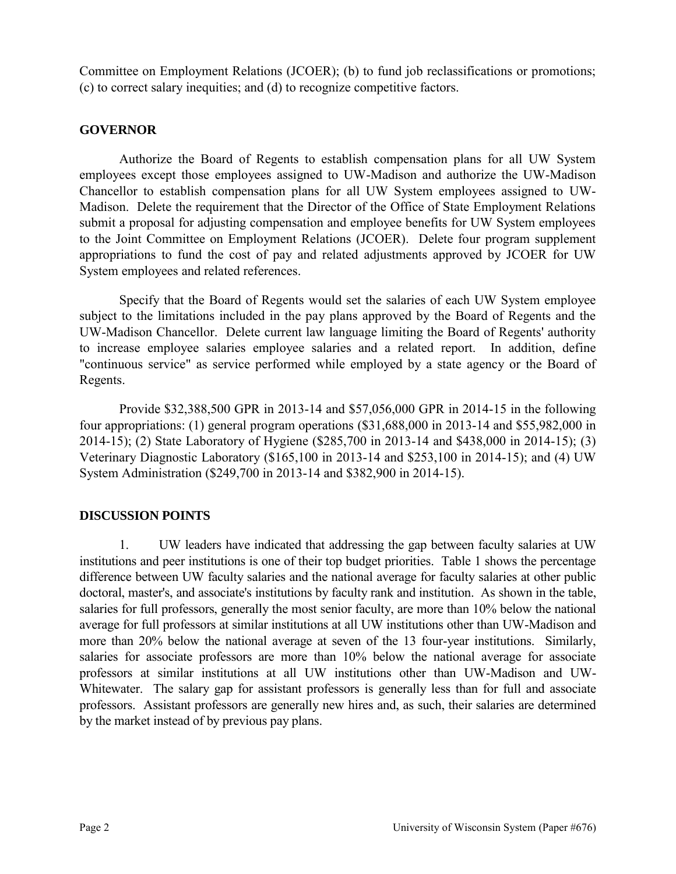Committee on Employment Relations (JCOER); (b) to fund job reclassifications or promotions; (c) to correct salary inequities; and (d) to recognize competitive factors.

## **GOVERNOR**

 Authorize the Board of Regents to establish compensation plans for all UW System employees except those employees assigned to UW-Madison and authorize the UW-Madison Chancellor to establish compensation plans for all UW System employees assigned to UW-Madison. Delete the requirement that the Director of the Office of State Employment Relations submit a proposal for adjusting compensation and employee benefits for UW System employees to the Joint Committee on Employment Relations (JCOER). Delete four program supplement appropriations to fund the cost of pay and related adjustments approved by JCOER for UW System employees and related references.

 Specify that the Board of Regents would set the salaries of each UW System employee subject to the limitations included in the pay plans approved by the Board of Regents and the UW-Madison Chancellor. Delete current law language limiting the Board of Regents' authority to increase employee salaries employee salaries and a related report. In addition, define "continuous service" as service performed while employed by a state agency or the Board of Regents.

 Provide \$32,388,500 GPR in 2013-14 and \$57,056,000 GPR in 2014-15 in the following four appropriations: (1) general program operations (\$31,688,000 in 2013-14 and \$55,982,000 in 2014-15); (2) State Laboratory of Hygiene (\$285,700 in 2013-14 and \$438,000 in 2014-15); (3) Veterinary Diagnostic Laboratory (\$165,100 in 2013-14 and \$253,100 in 2014-15); and (4) UW System Administration (\$249,700 in 2013-14 and \$382,900 in 2014-15).

### **DISCUSSION POINTS**

1. UW leaders have indicated that addressing the gap between faculty salaries at UW institutions and peer institutions is one of their top budget priorities. Table 1 shows the percentage difference between UW faculty salaries and the national average for faculty salaries at other public doctoral, master's, and associate's institutions by faculty rank and institution. As shown in the table, salaries for full professors, generally the most senior faculty, are more than 10% below the national average for full professors at similar institutions at all UW institutions other than UW-Madison and more than 20% below the national average at seven of the 13 four-year institutions. Similarly, salaries for associate professors are more than 10% below the national average for associate professors at similar institutions at all UW institutions other than UW-Madison and UW-Whitewater. The salary gap for assistant professors is generally less than for full and associate professors. Assistant professors are generally new hires and, as such, their salaries are determined by the market instead of by previous pay plans.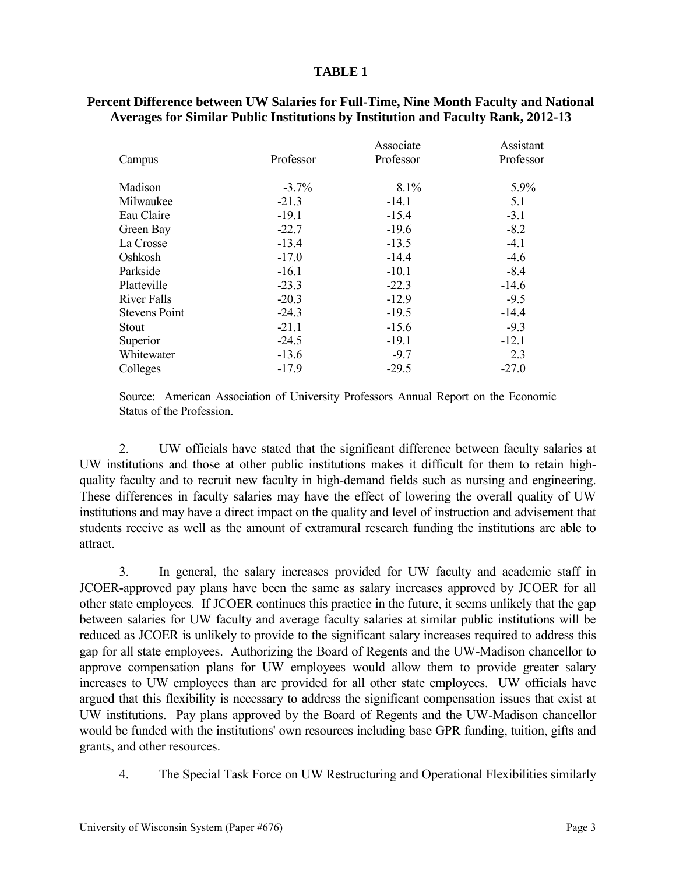#### **TABLE 1**

| Campus               | Professor | Associate<br>Professor | Assistant<br>Professor |
|----------------------|-----------|------------------------|------------------------|
| Madison              | $-3.7%$   | 8.1%                   | 5.9%                   |
| Milwaukee            | $-21.3$   | $-14.1$                | 5.1                    |
| Eau Claire           | $-19.1$   | $-15.4$                | $-3.1$                 |
| Green Bay            | $-22.7$   | $-19.6$                | $-8.2$                 |
| La Crosse            | $-13.4$   | $-13.5$                | $-4.1$                 |
| Oshkosh              | $-17.0$   | $-14.4$                | $-4.6$                 |
| Parkside             | $-16.1$   | $-10.1$                | $-8.4$                 |
| Platteville          | $-23.3$   | $-22.3$                | $-14.6$                |
| River Falls          | $-20.3$   | $-12.9$                | $-9.5$                 |
| <b>Stevens Point</b> | $-24.3$   | $-19.5$                | $-14.4$                |
| Stout                | $-21.1$   | $-15.6$                | $-9.3$                 |
| Superior             | $-24.5$   | $-19.1$                | $-12.1$                |
| Whitewater           | $-13.6$   | $-9.7$                 | 2.3                    |
| Colleges             | $-17.9$   | $-29.5$                | $-27.0$                |

#### **Percent Difference between UW Salaries for Full-Time, Nine Month Faculty and National Averages for Similar Public Institutions by Institution and Faculty Rank, 2012-13**

Source: American Association of University Professors Annual Report on the Economic Status of the Profession.

2. UW officials have stated that the significant difference between faculty salaries at UW institutions and those at other public institutions makes it difficult for them to retain highquality faculty and to recruit new faculty in high-demand fields such as nursing and engineering. These differences in faculty salaries may have the effect of lowering the overall quality of UW institutions and may have a direct impact on the quality and level of instruction and advisement that students receive as well as the amount of extramural research funding the institutions are able to attract.

3. In general, the salary increases provided for UW faculty and academic staff in JCOER-approved pay plans have been the same as salary increases approved by JCOER for all other state employees. If JCOER continues this practice in the future, it seems unlikely that the gap between salaries for UW faculty and average faculty salaries at similar public institutions will be reduced as JCOER is unlikely to provide to the significant salary increases required to address this gap for all state employees. Authorizing the Board of Regents and the UW-Madison chancellor to approve compensation plans for UW employees would allow them to provide greater salary increases to UW employees than are provided for all other state employees. UW officials have argued that this flexibility is necessary to address the significant compensation issues that exist at UW institutions. Pay plans approved by the Board of Regents and the UW-Madison chancellor would be funded with the institutions' own resources including base GPR funding, tuition, gifts and grants, and other resources.

4. The Special Task Force on UW Restructuring and Operational Flexibilities similarly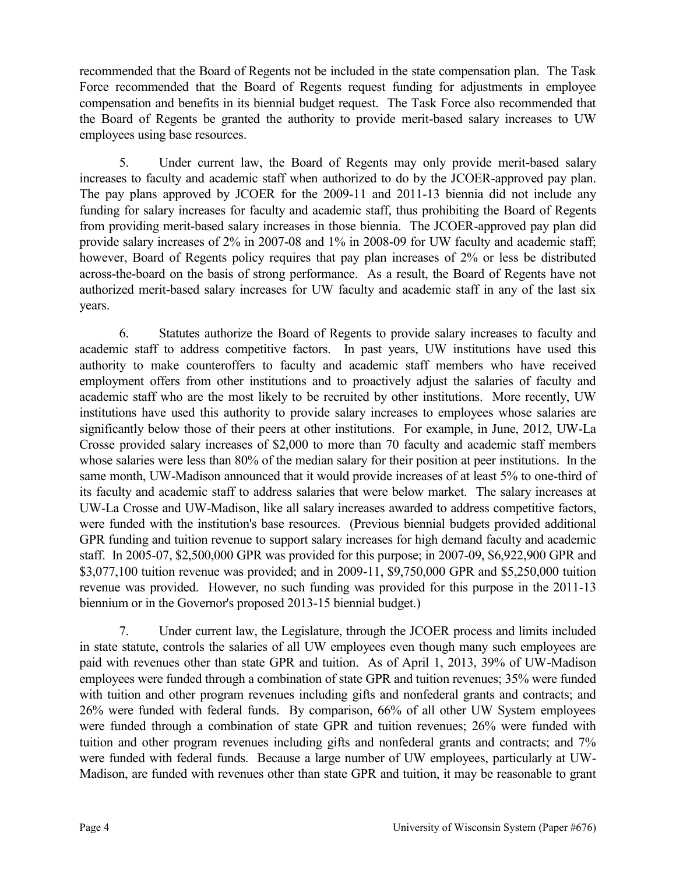recommended that the Board of Regents not be included in the state compensation plan. The Task Force recommended that the Board of Regents request funding for adjustments in employee compensation and benefits in its biennial budget request. The Task Force also recommended that the Board of Regents be granted the authority to provide merit-based salary increases to UW employees using base resources.

5. Under current law, the Board of Regents may only provide merit-based salary increases to faculty and academic staff when authorized to do by the JCOER-approved pay plan. The pay plans approved by JCOER for the 2009-11 and 2011-13 biennia did not include any funding for salary increases for faculty and academic staff, thus prohibiting the Board of Regents from providing merit-based salary increases in those biennia. The JCOER-approved pay plan did provide salary increases of 2% in 2007-08 and 1% in 2008-09 for UW faculty and academic staff; however, Board of Regents policy requires that pay plan increases of 2% or less be distributed across-the-board on the basis of strong performance. As a result, the Board of Regents have not authorized merit-based salary increases for UW faculty and academic staff in any of the last six years.

6. Statutes authorize the Board of Regents to provide salary increases to faculty and academic staff to address competitive factors. In past years, UW institutions have used this authority to make counteroffers to faculty and academic staff members who have received employment offers from other institutions and to proactively adjust the salaries of faculty and academic staff who are the most likely to be recruited by other institutions. More recently, UW institutions have used this authority to provide salary increases to employees whose salaries are significantly below those of their peers at other institutions. For example, in June, 2012, UW-La Crosse provided salary increases of \$2,000 to more than 70 faculty and academic staff members whose salaries were less than 80% of the median salary for their position at peer institutions. In the same month, UW-Madison announced that it would provide increases of at least 5% to one-third of its faculty and academic staff to address salaries that were below market. The salary increases at UW-La Crosse and UW-Madison, like all salary increases awarded to address competitive factors, were funded with the institution's base resources. (Previous biennial budgets provided additional GPR funding and tuition revenue to support salary increases for high demand faculty and academic staff. In 2005-07, \$2,500,000 GPR was provided for this purpose; in 2007-09, \$6,922,900 GPR and \$3,077,100 tuition revenue was provided; and in 2009-11, \$9,750,000 GPR and \$5,250,000 tuition revenue was provided. However, no such funding was provided for this purpose in the 2011-13 biennium or in the Governor's proposed 2013-15 biennial budget.)

7. Under current law, the Legislature, through the JCOER process and limits included in state statute, controls the salaries of all UW employees even though many such employees are paid with revenues other than state GPR and tuition. As of April 1, 2013, 39% of UW-Madison employees were funded through a combination of state GPR and tuition revenues; 35% were funded with tuition and other program revenues including gifts and nonfederal grants and contracts; and 26% were funded with federal funds. By comparison, 66% of all other UW System employees were funded through a combination of state GPR and tuition revenues; 26% were funded with tuition and other program revenues including gifts and nonfederal grants and contracts; and 7% were funded with federal funds. Because a large number of UW employees, particularly at UW-Madison, are funded with revenues other than state GPR and tuition, it may be reasonable to grant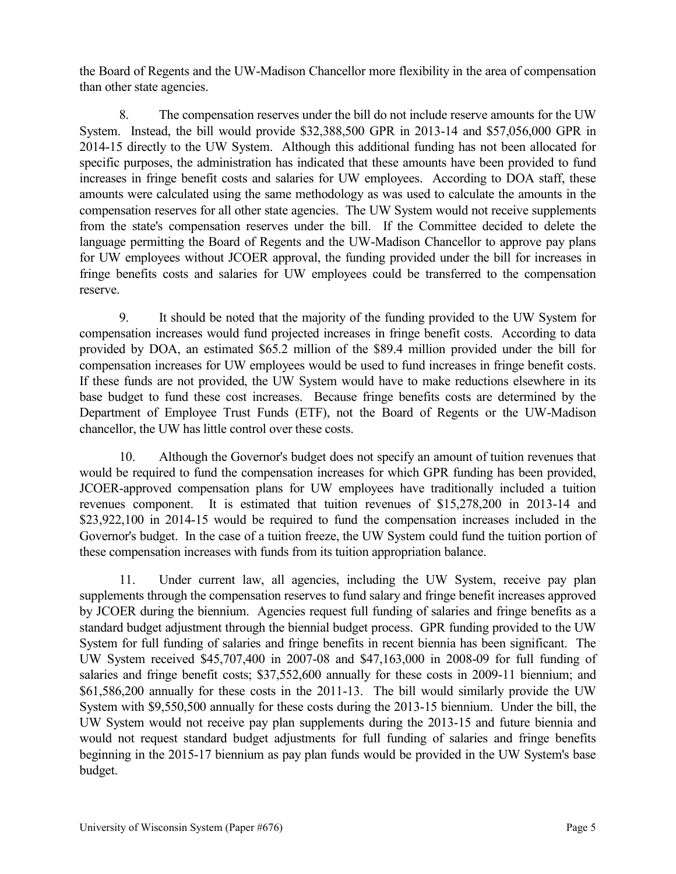the Board of Regents and the UW-Madison Chancellor more flexibility in the area of compensation than other state agencies.

8. The compensation reserves under the bill do not include reserve amounts for the UW System. Instead, the bill would provide \$32,388,500 GPR in 2013-14 and \$57,056,000 GPR in 2014-15 directly to the UW System. Although this additional funding has not been allocated for specific purposes, the administration has indicated that these amounts have been provided to fund increases in fringe benefit costs and salaries for UW employees. According to DOA staff, these amounts were calculated using the same methodology as was used to calculate the amounts in the compensation reserves for all other state agencies. The UW System would not receive supplements from the state's compensation reserves under the bill. If the Committee decided to delete the language permitting the Board of Regents and the UW-Madison Chancellor to approve pay plans for UW employees without JCOER approval, the funding provided under the bill for increases in fringe benefits costs and salaries for UW employees could be transferred to the compensation reserve.

9. It should be noted that the majority of the funding provided to the UW System for compensation increases would fund projected increases in fringe benefit costs. According to data provided by DOA, an estimated \$65.2 million of the \$89.4 million provided under the bill for compensation increases for UW employees would be used to fund increases in fringe benefit costs. If these funds are not provided, the UW System would have to make reductions elsewhere in its base budget to fund these cost increases. Because fringe benefits costs are determined by the Department of Employee Trust Funds (ETF), not the Board of Regents or the UW-Madison chancellor, the UW has little control over these costs.

10. Although the Governor's budget does not specify an amount of tuition revenues that would be required to fund the compensation increases for which GPR funding has been provided, JCOER-approved compensation plans for UW employees have traditionally included a tuition revenues component. It is estimated that tuition revenues of \$15,278,200 in 2013-14 and \$23,922,100 in 2014-15 would be required to fund the compensation increases included in the Governor's budget. In the case of a tuition freeze, the UW System could fund the tuition portion of these compensation increases with funds from its tuition appropriation balance.

11. Under current law, all agencies, including the UW System, receive pay plan supplements through the compensation reserves to fund salary and fringe benefit increases approved by JCOER during the biennium. Agencies request full funding of salaries and fringe benefits as a standard budget adjustment through the biennial budget process. GPR funding provided to the UW System for full funding of salaries and fringe benefits in recent biennia has been significant. The UW System received \$45,707,400 in 2007-08 and \$47,163,000 in 2008-09 for full funding of salaries and fringe benefit costs; \$37,552,600 annually for these costs in 2009-11 biennium; and \$61,586,200 annually for these costs in the 2011-13. The bill would similarly provide the UW System with \$9,550,500 annually for these costs during the 2013-15 biennium. Under the bill, the UW System would not receive pay plan supplements during the 2013-15 and future biennia and would not request standard budget adjustments for full funding of salaries and fringe benefits beginning in the 2015-17 biennium as pay plan funds would be provided in the UW System's base budget.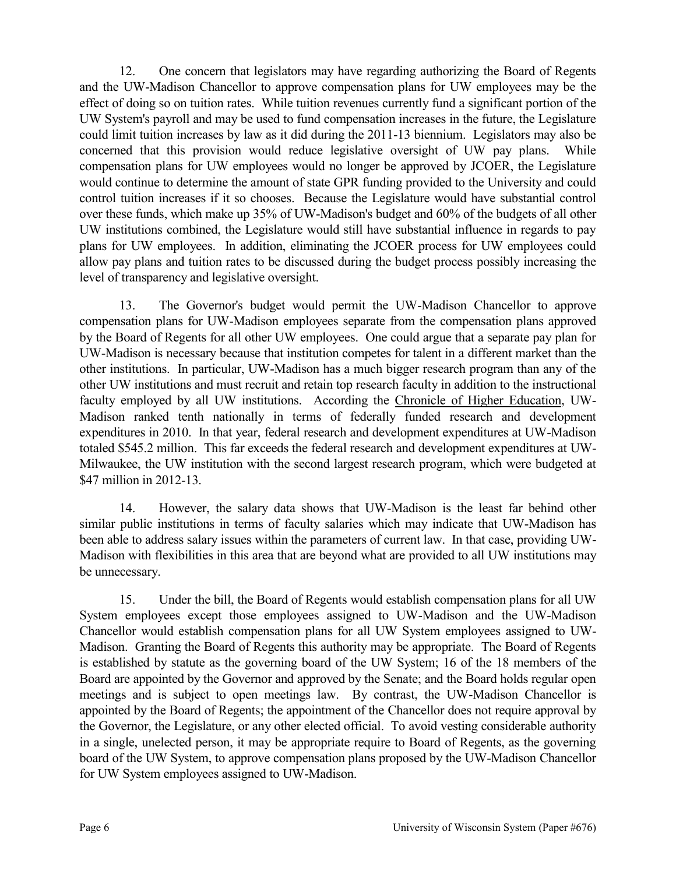12. One concern that legislators may have regarding authorizing the Board of Regents and the UW-Madison Chancellor to approve compensation plans for UW employees may be the effect of doing so on tuition rates. While tuition revenues currently fund a significant portion of the UW System's payroll and may be used to fund compensation increases in the future, the Legislature could limit tuition increases by law as it did during the 2011-13 biennium. Legislators may also be concerned that this provision would reduce legislative oversight of UW pay plans. While compensation plans for UW employees would no longer be approved by JCOER, the Legislature would continue to determine the amount of state GPR funding provided to the University and could control tuition increases if it so chooses. Because the Legislature would have substantial control over these funds, which make up 35% of UW-Madison's budget and 60% of the budgets of all other UW institutions combined, the Legislature would still have substantial influence in regards to pay plans for UW employees. In addition, eliminating the JCOER process for UW employees could allow pay plans and tuition rates to be discussed during the budget process possibly increasing the level of transparency and legislative oversight.

13. The Governor's budget would permit the UW-Madison Chancellor to approve compensation plans for UW-Madison employees separate from the compensation plans approved by the Board of Regents for all other UW employees. One could argue that a separate pay plan for UW-Madison is necessary because that institution competes for talent in a different market than the other institutions. In particular, UW-Madison has a much bigger research program than any of the other UW institutions and must recruit and retain top research faculty in addition to the instructional faculty employed by all UW institutions. According the Chronicle of Higher Education, UW-Madison ranked tenth nationally in terms of federally funded research and development expenditures in 2010. In that year, federal research and development expenditures at UW-Madison totaled \$545.2 million. This far exceeds the federal research and development expenditures at UW-Milwaukee, the UW institution with the second largest research program, which were budgeted at \$47 million in 2012-13.

14. However, the salary data shows that UW-Madison is the least far behind other similar public institutions in terms of faculty salaries which may indicate that UW-Madison has been able to address salary issues within the parameters of current law. In that case, providing UW-Madison with flexibilities in this area that are beyond what are provided to all UW institutions may be unnecessary.

15. Under the bill, the Board of Regents would establish compensation plans for all UW System employees except those employees assigned to UW-Madison and the UW-Madison Chancellor would establish compensation plans for all UW System employees assigned to UW-Madison. Granting the Board of Regents this authority may be appropriate. The Board of Regents is established by statute as the governing board of the UW System; 16 of the 18 members of the Board are appointed by the Governor and approved by the Senate; and the Board holds regular open meetings and is subject to open meetings law. By contrast, the UW-Madison Chancellor is appointed by the Board of Regents; the appointment of the Chancellor does not require approval by the Governor, the Legislature, or any other elected official. To avoid vesting considerable authority in a single, unelected person, it may be appropriate require to Board of Regents, as the governing board of the UW System, to approve compensation plans proposed by the UW-Madison Chancellor for UW System employees assigned to UW-Madison.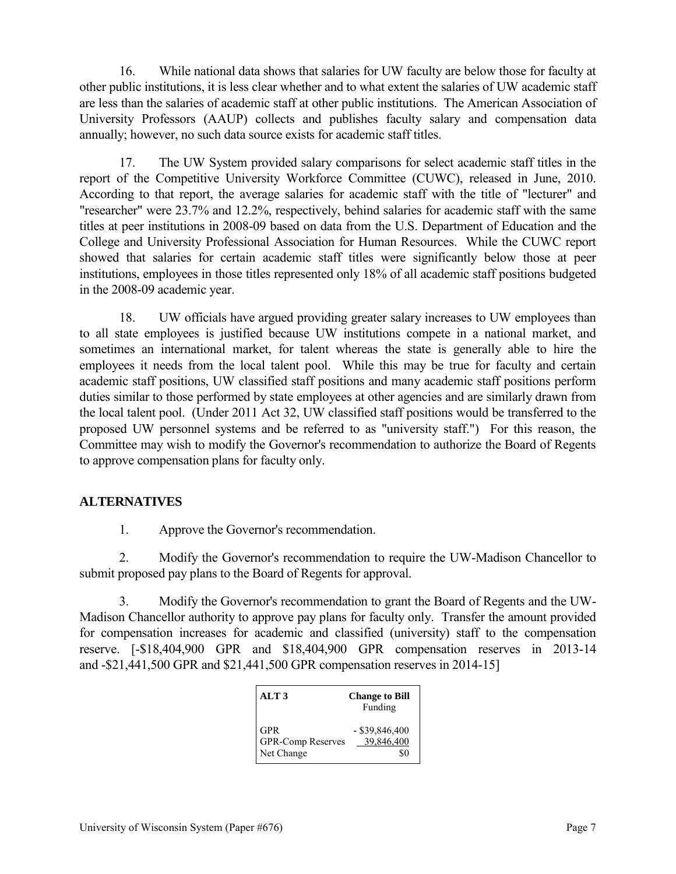16. While national data shows that salaries for UW faculty are below those for faculty at other public institutions, it is less clear whether and to what extent the salaries of UW academic staff are less than the salaries of academic staff at other public institutions. The American Association of University Professors (AAUP) collects and publishes faculty salary and compensation data annually; however, no such data source exists for academic staff titles.

17. The UW System provided salary comparisons for select academic staff titles in the report of the Competitive University Workforce Committee (CUWC), released in June, 2010. According to that report, the average salaries for academic staff with the title of "lecturer" and "researcher" were 23.7% and 12.2%, respectively, behind salaries for academic staff with the same titles at peer institutions in 2008-09 based on data from the U.S. Department of Education and the College and University Professional Association for Human Resources. While the CUWC report showed that salaries for certain academic staff titles were significantly below those at peer institutions, employees in those titles represented only 18% of all academic staff positions budgeted in the 2008-09 academic year.

18. UW officials have argued providing greater salary increases to UW employees than to all state employees is justified because UW institutions compete in a national market, and sometimes an international market, for talent whereas the state is generally able to hire the employees it needs from the local talent pool. While this may be true for faculty and certain academic staff positions, UW classified staff positions and many academic staff positions perform duties similar to those performed by state employees at other agencies and are similarly drawn from the local talent pool. (Under 2011 Act 32, UW classified staff positions would be transferred to the proposed UW personnel systems and be referred to as "university staff.") For this reason, the Committee may wish to modify the Governor's recommendation to authorize the Board of Regents to approve compensation plans for faculty only.

### **ALTERNATIVES**

1. Approve the Governor's recommendation.

2. Modify the Governor's recommendation to require the UW-Madison Chancellor to submit proposed pay plans to the Board of Regents for approval.

3. Modify the Governor's recommendation to grant the Board of Regents and the UW-Madison Chancellor authority to approve pay plans for faculty only. Transfer the amount provided for compensation increases for academic and classified (university) staff to the compensation reserve. [-\$18,404,900 GPR and \$18,404,900 GPR compensation reserves in 2013-14 and -\$21,441,500 GPR and \$21,441,500 GPR compensation reserves in 2014-15]

| ALT <sub>3</sub>                              | <b>Change to Bill</b><br>Funding |
|-----------------------------------------------|----------------------------------|
| <b>GPR</b><br>GPR-Comp Reserves<br>Net Change | $-$ \$39,846,400<br>39,846,400   |